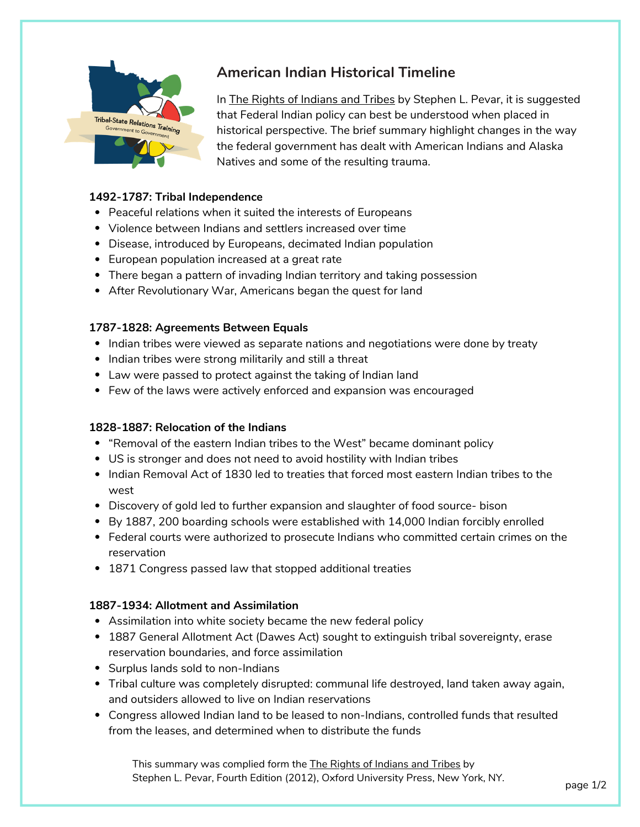

# **American Indian Historical Timeline**

In The Rights of Indians and Tribes by Stephen L. Pevar, it is suggested that Federal Indian policy can best be understood when placed in historical perspective. The brief summary highlight changes in the way the federal government has dealt with American Indians and Alaska Natives and some of the resulting trauma.

## **1492-1787: Tribal Independence**

- Peaceful relations when it suited the interests of Europeans
- Violence between Indians and settlers increased over time
- Disease, introduced by Europeans, decimated Indian population
- European population increased at a great rate
- There began a pattern of invading Indian territory and taking possession
- After Revolutionary War, Americans began the quest for land

#### **1787-1828: Agreements Between Equals**

- Indian tribes were viewed as separate nations and negotiations were done by treaty
- Indian tribes were strong militarily and still a threat
- Law were passed to protect against the taking of Indian land
- Few of the laws were actively enforced and expansion was encouraged

## **1828-1887: Relocation of the Indians**

- "Removal of the eastern Indian tribes to the West" became dominant policy
- US is stronger and does not need to avoid hostility with Indian tribes
- Indian Removal Act of 1830 led to treaties that forced most eastern Indian tribes to the west
- Discovery of gold led to further expansion and slaughter of food source- bison
- By 1887, 200 boarding schools were established with 14,000 Indian forcibly enrolled
- Federal courts were authorized to prosecute Indians who committed certain crimes on the reservation
- 1871 Congress passed law that stopped additional treaties

#### **1887-1934: Allotment and Assimilation**

- Assimilation into white society became the new federal policy
- 1887 General Allotment Act (Dawes Act) sought to extinguish tribal sovereignty, erase reservation boundaries, and force assimilation
- Surplus lands sold to non-Indians
- Tribal culture was completely disrupted: communal life destroyed, land taken away again, and outsiders allowed to live on Indian reservations
- Congress allowed Indian land to be leased to non-Indians, controlled funds that resulted from the leases, and determined when to distribute the funds

This summary was complied form the The Rights of Indians and Tribes by Stephen L. Pevar, Fourth Edition (2012), Oxford University Press, New York, NY.